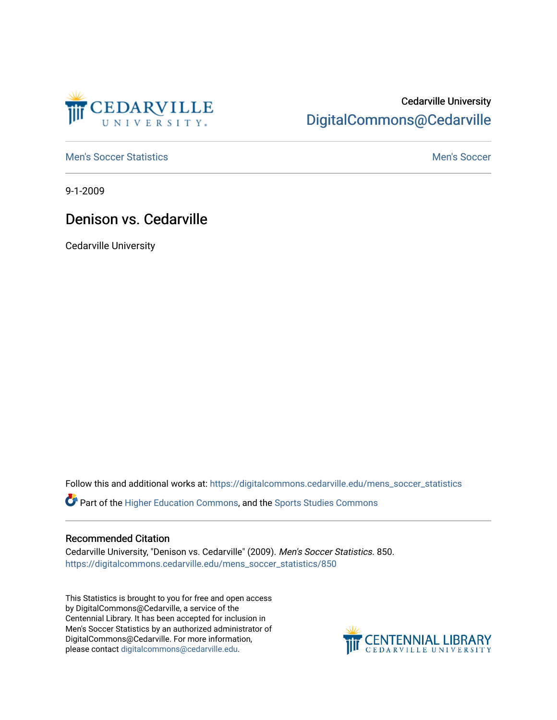

# Cedarville University [DigitalCommons@Cedarville](https://digitalcommons.cedarville.edu/)

[Men's Soccer Statistics](https://digitalcommons.cedarville.edu/mens_soccer_statistics) **[Men's Soccer](https://digitalcommons.cedarville.edu/mens_soccer) Statistics** Men's Soccer

9-1-2009

## Denison vs. Cedarville

Cedarville University

Follow this and additional works at: [https://digitalcommons.cedarville.edu/mens\\_soccer\\_statistics](https://digitalcommons.cedarville.edu/mens_soccer_statistics?utm_source=digitalcommons.cedarville.edu%2Fmens_soccer_statistics%2F850&utm_medium=PDF&utm_campaign=PDFCoverPages)

Part of the [Higher Education Commons,](http://network.bepress.com/hgg/discipline/1245?utm_source=digitalcommons.cedarville.edu%2Fmens_soccer_statistics%2F850&utm_medium=PDF&utm_campaign=PDFCoverPages) and the [Sports Studies Commons](http://network.bepress.com/hgg/discipline/1198?utm_source=digitalcommons.cedarville.edu%2Fmens_soccer_statistics%2F850&utm_medium=PDF&utm_campaign=PDFCoverPages) 

### Recommended Citation

Cedarville University, "Denison vs. Cedarville" (2009). Men's Soccer Statistics. 850. [https://digitalcommons.cedarville.edu/mens\\_soccer\\_statistics/850](https://digitalcommons.cedarville.edu/mens_soccer_statistics/850?utm_source=digitalcommons.cedarville.edu%2Fmens_soccer_statistics%2F850&utm_medium=PDF&utm_campaign=PDFCoverPages)

This Statistics is brought to you for free and open access by DigitalCommons@Cedarville, a service of the Centennial Library. It has been accepted for inclusion in Men's Soccer Statistics by an authorized administrator of DigitalCommons@Cedarville. For more information, please contact [digitalcommons@cedarville.edu](mailto:digitalcommons@cedarville.edu).